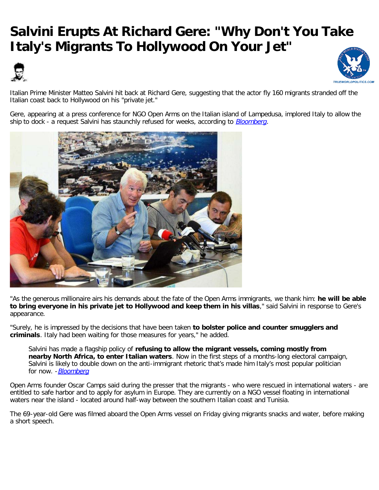## **[Salvini Erupts At Richard Gere: "Why Don't You](https://www.zerohedge.com/news/2019-08-11/italys-salvini-richard-gere-why-dont-you-take-stranded-migrants-hollywood-your-jet) Take Italy's Migrants To Hollywood On Your Jet"**





Italian Prime Minister Matteo Salvini hit back at Richard Gere, suggesting that the actor fly 160 migrants stranded off the Italian coast back to Hollywood on his "private jet."

Gere, appearing at a press conference for NGO Open Arms on the Italian island of Lampedusa, implored Italy to allow the ship to dock - a request Salvini has staunchly refused for weeks, according to **[Bloomberg](https://www.bloomberg.com/news/articles/2019-08-10/italy-s-salvini-tells-richard-gere-to-take-stranded-migrants)**.



"As the generous millionaire airs his demands about the fate of the Open Arms immigrants, we thank him: **he will be able to bring everyone in his private jet to Hollywood and keep them in his villas**," said Salvini in response to Gere's appearance.

"Surely, he is impressed by the decisions that have been taken **to bolster police and counter smugglers and criminals**. Italy had been waiting for those measures for years," he added.

Salvini has made a flagship policy of **refusing to allow the migrant vessels, coming mostly from nearby North Africa, to enter Italian waters**. Now in the first steps of a months-long electoral campaign, Salvini is likely to double down on the anti-immigrant rhetoric that's made him Italy's most popular politician for now. - **[Bloomberg](https://www.bloomberg.com/news/articles/2019-08-10/italy-s-salvini-tells-richard-gere-to-take-stranded-migrants)** 

Open Arms founder Oscar Camps said during the presser that the migrants - who were rescued in international waters - are entitled to safe harbor and to apply for asylum in Europe. They are currently on a NGO vessel floating in international waters near the island - located around half-way between the southern Italian coast and Tunisia.

The 69-year-old Gere was filmed aboard the Open Arms vessel on Friday giving migrants snacks and water, before making a short speech.